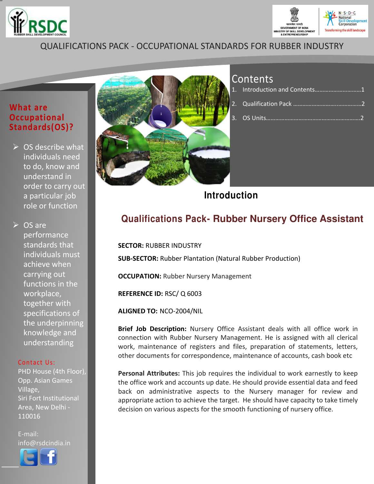



## QUALIFICATIONS PACK - OCCUPATIONAL STANDARDS FOR RUBBER INDUSTRY

### **What are Occupational Standards(OS)?**

 $\triangleright$  OS describe what individuals need to do, know and understand in order to carry out a particular job role or function

**► OS are** performance standards that individuals must achieve when carrying out functions in the workplace, together with specifications of the underpinning knowledge and understanding

### Contact Us:

PHD House (4th Floor), Opp. Asian Games Village, Siri Fort Institutional Area, New Delhi - 110016

E-mail: info@rsdcindia.in



l I



## Contents

| 1. Introduction and Contents1 |  |
|-------------------------------|--|
|                               |  |
|                               |  |

**Introduction**

## **Qualifications Pack- Rubber Nursery Office Assistant**

**SECTOR:** RUBBER INDUSTRY **SUB-SECTOR:** Rubber Plantation (Natural Rubber Production) **OCCUPATION: Rubber Nursery Management REFERENCE ID:** RSC/ Q 6003 **ALIGNED TO:** NCO-2004/NIL

**Brief Job Description:** Nursery Office Assistant deals with all office work in connection with Rubber Nursery Management. He is assigned with all clerical work, maintenance of registers and files, preparation of statements, letters, other documents for correspondence, maintenance of accounts, cash book etc

**Personal Attributes:** This job requires the individual to work earnestly to keep the office work and accounts up date. He should provide essential data and feed back on administrative aspects to the Nursery manager for review and appropriate action to achieve the target. He should have capacity to take timely decision on various aspects for the smooth functioning of nursery office.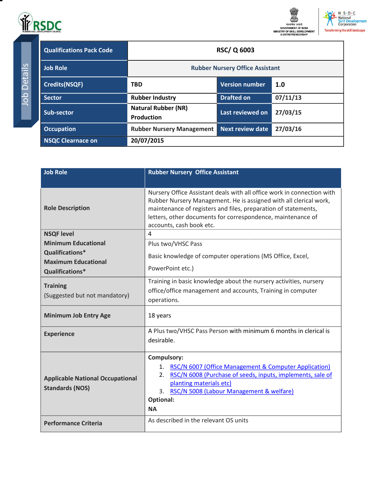



TrepC

<span id="page-1-0"></span>

| <b>Qualifications Pack Code</b> | <b>RSC/Q 6003</b>                               |                         |          |
|---------------------------------|-------------------------------------------------|-------------------------|----------|
| <b>Job Role</b>                 | <b>Rubber Nursery Office Assistant</b>          |                         |          |
| <b>Credits(NSQF)</b>            | <b>TBD</b>                                      | <b>Version number</b>   | 1.0      |
| <b>Sector</b>                   | <b>Rubber Industry</b>                          | <b>Drafted on</b>       | 07/11/13 |
| Sub-sector                      | <b>Natural Rubber (NR)</b><br><b>Production</b> | Last reviewed on        | 27/03/15 |
| <b>Occupation</b>               | <b>Rubber Nursery Management</b>                | <b>Next review date</b> | 27/03/16 |
| <b>NSQC Clearnace on</b>        | 20/07/2015                                      |                         |          |

| <b>Job Role</b>                                                   | <b>Rubber Nursery Office Assistant</b>                                                                                                                                                                                                                                                                   |  |
|-------------------------------------------------------------------|----------------------------------------------------------------------------------------------------------------------------------------------------------------------------------------------------------------------------------------------------------------------------------------------------------|--|
|                                                                   |                                                                                                                                                                                                                                                                                                          |  |
| <b>Role Description</b>                                           | Nursery Office Assistant deals with all office work in connection with<br>Rubber Nursery Management. He is assigned with all clerical work,<br>maintenance of registers and files, preparation of statements,<br>letters, other documents for correspondence, maintenance of<br>accounts, cash book etc. |  |
| <b>NSQF level</b>                                                 | 4                                                                                                                                                                                                                                                                                                        |  |
| <b>Minimum Educational</b>                                        | Plus two/VHSC Pass                                                                                                                                                                                                                                                                                       |  |
| Qualifications*<br><b>Maximum Educational</b><br>Qualifications*  | Basic knowledge of computer operations (MS Office, Excel,<br>PowerPoint etc.)                                                                                                                                                                                                                            |  |
| <b>Training</b><br>(Suggested but not mandatory)                  | Training in basic knowledge about the nursery activities, nursery<br>office/office management and accounts, Training in computer<br>operations.                                                                                                                                                          |  |
| <b>Minimum Job Entry Age</b>                                      | 18 years                                                                                                                                                                                                                                                                                                 |  |
| <b>Experience</b>                                                 | A Plus two/VHSC Pass Person with minimum 6 months in clerical is<br>desirable.                                                                                                                                                                                                                           |  |
| <b>Applicable National Occupational</b><br><b>Standards (NOS)</b> | <b>Compulsory:</b><br>RSC/N 6007 (Office Management & Computer Application)<br>1.<br>RSC/N 6008 (Purchase of seeds, inputs, implements, sale of<br>2.<br>planting materials etc)<br>3. RSC/N 5008 (Labour Management & welfare)<br><b>Optional:</b><br><b>NA</b>                                         |  |
| <b>Performance Criteria</b>                                       | As described in the relevant OS units                                                                                                                                                                                                                                                                    |  |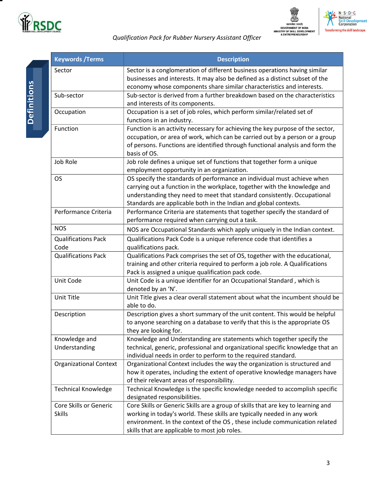



# *Qualification Pack for Rubber Nursery Assistant Officer*

| <b>Keywords / Terms</b>                 | <b>Description</b>                                                                                                                                                                                                                                                                                   |  |  |
|-----------------------------------------|------------------------------------------------------------------------------------------------------------------------------------------------------------------------------------------------------------------------------------------------------------------------------------------------------|--|--|
| Sector                                  | Sector is a conglomeration of different business operations having similar<br>businesses and interests. It may also be defined as a distinct subset of the<br>economy whose components share similar characteristics and interests.                                                                  |  |  |
| Sub-sector                              | Sub-sector is derived from a further breakdown based on the characteristics<br>and interests of its components.                                                                                                                                                                                      |  |  |
| Occupation                              | Occupation is a set of job roles, which perform similar/related set of<br>functions in an industry.                                                                                                                                                                                                  |  |  |
| Function                                | Function is an activity necessary for achieving the key purpose of the sector,<br>occupation, or area of work, which can be carried out by a person or a group<br>of persons. Functions are identified through functional analysis and form the<br>basis of OS.                                      |  |  |
| Job Role                                | Job role defines a unique set of functions that together form a unique<br>employment opportunity in an organization.                                                                                                                                                                                 |  |  |
| <b>OS</b>                               | OS specify the standards of performance an individual must achieve when<br>carrying out a function in the workplace, together with the knowledge and<br>understanding they need to meet that standard consistently. Occupational<br>Standards are applicable both in the Indian and global contexts. |  |  |
| Performance Criteria                    | Performance Criteria are statements that together specify the standard of<br>performance required when carrying out a task.                                                                                                                                                                          |  |  |
| <b>NOS</b>                              | NOS are Occupational Standards which apply uniquely in the Indian context.                                                                                                                                                                                                                           |  |  |
| <b>Qualifications Pack</b><br>Code      | Qualifications Pack Code is a unique reference code that identifies a<br>qualifications pack.                                                                                                                                                                                                        |  |  |
| <b>Qualifications Pack</b>              | Qualifications Pack comprises the set of OS, together with the educational,<br>training and other criteria required to perform a job role. A Qualifications<br>Pack is assigned a unique qualification pack code.                                                                                    |  |  |
| Unit Code                               | Unit Code is a unique identifier for an Occupational Standard, which is<br>denoted by an 'N'.                                                                                                                                                                                                        |  |  |
| Unit Title                              | Unit Title gives a clear overall statement about what the incumbent should be<br>able to do.                                                                                                                                                                                                         |  |  |
| Description                             | Description gives a short summary of the unit content. This would be helpful<br>to anyone searching on a database to verify that this is the appropriate OS<br>they are looking for.                                                                                                                 |  |  |
| Knowledge and<br>Understanding          | Knowledge and Understanding are statements which together specify the<br>technical, generic, professional and organizational specific knowledge that an<br>individual needs in order to perform to the required standard.                                                                            |  |  |
| <b>Organizational Context</b>           | Organizational Context includes the way the organization is structured and<br>how it operates, including the extent of operative knowledge managers have<br>of their relevant areas of responsibility.                                                                                               |  |  |
| <b>Technical Knowledge</b>              | Technical Knowledge is the specific knowledge needed to accomplish specific<br>designated responsibilities.                                                                                                                                                                                          |  |  |
| Core Skills or Generic<br><b>Skills</b> | Core Skills or Generic Skills are a group of skills that are key to learning and<br>working in today's world. These skills are typically needed in any work<br>environment. In the context of the OS, these include communication related<br>skills that are applicable to most job roles.           |  |  |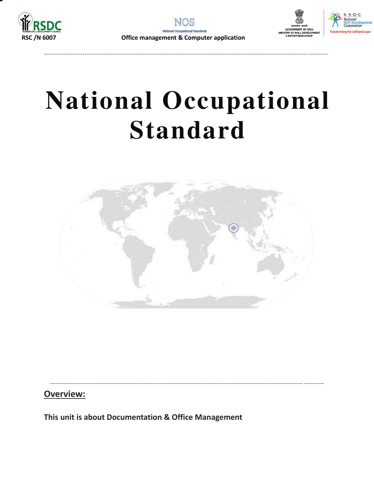

---------------------------------------------------------------------------------------------------------------------------------- ----------



# **National Occupational Standard**



----------------------------------------------------------------------------------------------------------------------------- ----------

**Overview:** 

<span id="page-3-0"></span>**This unit is about Documentation & Office Management**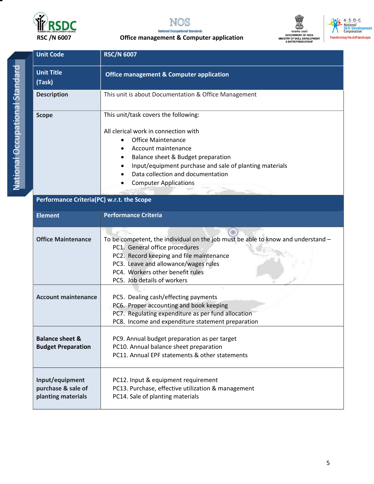

**Balance sheet & Budget Preparation** 

**Input/equipment purchase & sale of planting materials** 



#### nal Standards  **RSC /N 6007 Office management & Computer application**





| <b>Unit Code</b>                                          | <b>RSC/N 6007</b>                                                                                                                                                                                                                                                                                                                     |  |  |
|-----------------------------------------------------------|---------------------------------------------------------------------------------------------------------------------------------------------------------------------------------------------------------------------------------------------------------------------------------------------------------------------------------------|--|--|
| <b>Unit Title</b><br>(Task)                               | <b>Office management &amp; Computer application</b>                                                                                                                                                                                                                                                                                   |  |  |
| <b>Description</b>                                        | This unit is about Documentation & Office Management                                                                                                                                                                                                                                                                                  |  |  |
| <b>Scope</b><br>Performance Criteria(PC) w.r.t. the Scope | This unit/task covers the following:<br>All clerical work in connection with<br><b>Office Maintenance</b><br>$\bullet$<br>Account maintenance<br>$\bullet$<br>Balance sheet & Budget preparation<br>٠<br>Input/equipment purchase and sale of planting materials<br>Data collection and documentation<br><b>Computer Applications</b> |  |  |
| <b>Element</b>                                            | <b>Performance Criteria</b>                                                                                                                                                                                                                                                                                                           |  |  |
| <b>Office Maintenance</b>                                 | To be competent, the individual on the job must be able to know and understand -<br>PC1. General office procedures<br>PC2. Record keeping and file maintenance<br>PC3. Leave and allowance/wages rules<br>PC4. Workers other benefit rules<br>PC5. Job details of workers                                                             |  |  |
| <b>Account maintenance</b>                                | PC5. Dealing cash/effecting payments<br>PC6. Proper accounting and book keeping<br>PC7. Regulating expenditure as per fund allocation                                                                                                                                                                                                 |  |  |

PC8. Income and expenditure statement preparation

PC9. Annual budget preparation as per target PC10. Annual balance sheet preparation

PC12. Input & equipment requirement

PC14. Sale of planting materials

PC11. Annual EPF statements & other statements

PC13. Purchase, effective utilization & management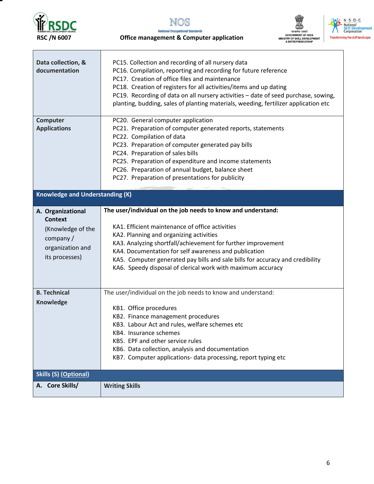



### **National Occupational Standards RSC /N 6007 Office management & Computer application**





| Data collection, &<br>documentation                                                                           | PC15. Collection and recording of all nursery data<br>PC16. Compilation, reporting and recording for future reference<br>PC17. Creation of office files and maintenance<br>PC18. Creation of registers for all activities/items and up dating<br>PC19. Recording of data on all nursery activities - date of seed purchase, sowing,<br>planting, budding, sales of planting materials, weeding, fertilizer application etc          |  |  |
|---------------------------------------------------------------------------------------------------------------|-------------------------------------------------------------------------------------------------------------------------------------------------------------------------------------------------------------------------------------------------------------------------------------------------------------------------------------------------------------------------------------------------------------------------------------|--|--|
| Computer<br><b>Applications</b>                                                                               | PC20. General computer application<br>PC21. Preparation of computer generated reports, statements<br>PC22. Compilation of data<br>PC23. Preparation of computer generated pay bills<br>PC24. Preparation of sales bills<br>PC25. Preparation of expenditure and income statements<br>PC26. Preparation of annual budget, balance sheet<br>PC27. Preparation of presentations for publicity                                          |  |  |
| <b>Knowledge and Understanding (K)</b>                                                                        |                                                                                                                                                                                                                                                                                                                                                                                                                                     |  |  |
| A. Organizational<br><b>Context</b><br>(Knowledge of the<br>company $/$<br>organization and<br>its processes) | The user/individual on the job needs to know and understand:<br>KA1. Efficient maintenance of office activities<br>KA2. Planning and organizing activities<br>KA3. Analyzing shortfall/achievement for further improvement<br>KA4. Documentation for self awareness and publication<br>KA5. Computer generated pay bills and sale bills for accuracy and credibility<br>KA6. Speedy disposal of clerical work with maximum accuracy |  |  |
| <b>B. Technical</b><br><b>Knowledge</b>                                                                       | The user/individual on the job needs to know and understand:<br>KB1. Office procedures<br>KB2. Finance management procedures<br>KB3. Labour Act and rules, welfare schemes etc<br>KB4. Insurance schemes<br>KB5. EPF and other service rules<br>KB6. Data collection, analysis and documentation<br>KB7. Computer applications- data processing, report typing etc                                                                  |  |  |
| <b>Skills (S) (Optional)</b>                                                                                  |                                                                                                                                                                                                                                                                                                                                                                                                                                     |  |  |
| A. Core Skills/                                                                                               | <b>Writing Skills</b>                                                                                                                                                                                                                                                                                                                                                                                                               |  |  |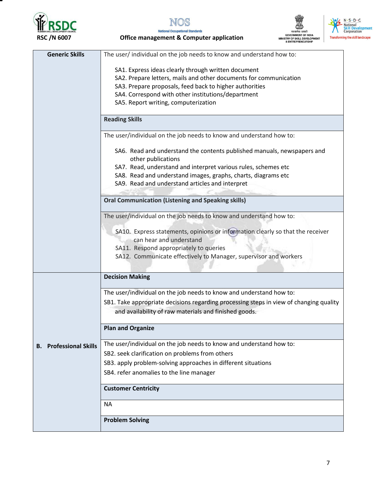

т



**National Occupational Standards RSC /N 6007 Office management & Computer application** 





| <b>Generic Skills</b>            | The user/ individual on the job needs to know and understand how to:                                       |
|----------------------------------|------------------------------------------------------------------------------------------------------------|
|                                  | SA1. Express ideas clearly through written document                                                        |
|                                  | SA2. Prepare letters, mails and other documents for communication                                          |
|                                  | SA3. Prepare proposals, feed back to higher authorities                                                    |
|                                  | SA4. Correspond with other institutions/department                                                         |
|                                  | SA5. Report writing, computerization                                                                       |
|                                  |                                                                                                            |
|                                  | <b>Reading Skills</b>                                                                                      |
|                                  | The user/individual on the job needs to know and understand how to:                                        |
|                                  | SA6. Read and understand the contents published manuals, newspapers and<br>other publications              |
|                                  | SA7. Read, understand and interpret various rules, schemes etc                                             |
|                                  | SA8. Read and understand images, graphs, charts, diagrams etc                                              |
|                                  | SA9. Read and understand articles and interpret                                                            |
|                                  |                                                                                                            |
|                                  | <b>Oral Communication (Listening and Speaking skills)</b>                                                  |
|                                  | The user/individual on the job needs to know and understand how to:                                        |
|                                  |                                                                                                            |
|                                  | SA10. Express statements, opinions or information clearly so that the receiver<br>can hear and understand  |
|                                  |                                                                                                            |
|                                  | SA11. Respond appropriately to queries<br>SA12. Communicate effectively to Manager, supervisor and workers |
|                                  |                                                                                                            |
|                                  |                                                                                                            |
|                                  | <b>Decision Making</b>                                                                                     |
|                                  | The user/individual on the job needs to know and understand how to:                                        |
|                                  | SB1. Take appropriate decisions regarding processing steps in view of changing quality                     |
|                                  | and availability of raw materials and finished goods.                                                      |
|                                  | <b>Plan and Organize</b>                                                                                   |
|                                  |                                                                                                            |
| <b>Professional Skills</b><br>В. | The user/individual on the job needs to know and understand how to:                                        |
|                                  | SB2. seek clarification on problems from others                                                            |
|                                  | SB3. apply problem-solving approaches in different situations                                              |
|                                  | SB4. refer anomalies to the line manager                                                                   |
|                                  | <b>Customer Centricity</b>                                                                                 |
|                                  | <b>NA</b>                                                                                                  |
|                                  | <b>Problem Solving</b>                                                                                     |
|                                  |                                                                                                            |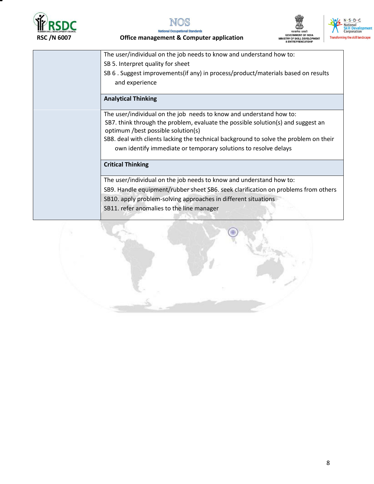







**National Occupational Standards RSC /N 6007 Office management & Computer application** 

| The user/individual on the job needs to know and understand how to:                                                    |
|------------------------------------------------------------------------------------------------------------------------|
|                                                                                                                        |
| SB 5. Interpret quality for sheet                                                                                      |
| SB 6. Suggest improvements(if any) in process/product/materials based on results                                       |
| and experience                                                                                                         |
| <b>Analytical Thinking</b>                                                                                             |
| The user/individual on the job needs to know and understand how to:                                                    |
| SB7. think through the problem, evaluate the possible solution(s) and suggest an<br>optimum /best possible solution(s) |
| SB8. deal with clients lacking the technical background to solve the problem on their                                  |
| own identify immediate or temporary solutions to resolve delays                                                        |
| <b>Critical Thinking</b>                                                                                               |
| The user/individual on the job needs to know and understand how to:                                                    |
| SB9. Handle equipment/rubber sheet SB6. seek clarification on problems from others                                     |
| SB10. apply problem-solving approaches in different situations                                                         |
| SB11. refer anomalies to the line manager                                                                              |
|                                                                                                                        |

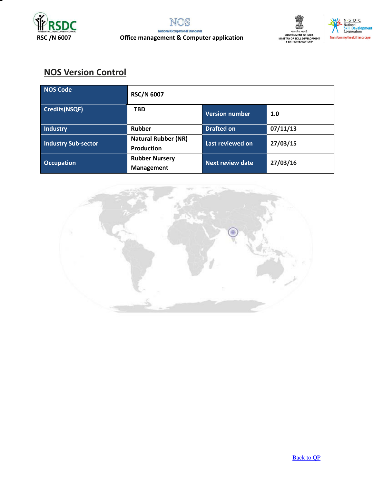





## **NOS Version Control**

| NOS Code                   | <b>RSC/N 6007</b>                               |                         |          |
|----------------------------|-------------------------------------------------|-------------------------|----------|
| Credits(NSQF)              | <b>TBD</b>                                      | <b>Version number</b>   | 1.0      |
| Industry                   | <b>Rubber</b>                                   | <b>Drafted on</b>       | 07/11/13 |
| <b>Industry Sub-sector</b> | <b>Natural Rubber (NR)</b><br><b>Production</b> | Last reviewed on        | 27/03/15 |
| <b>Occupation</b>          | <b>Rubber Nursery</b><br>Management             | <b>Next review date</b> | 27/03/16 |

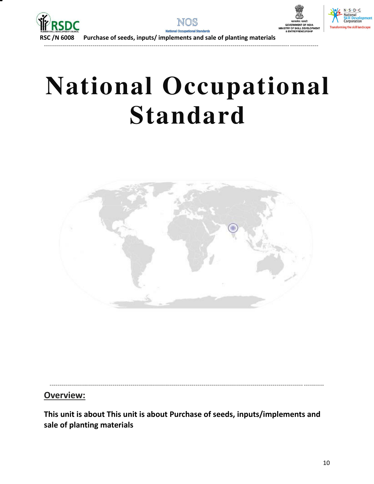



------------------------------------------------------------------------------------------------------------------------- --------------



 $S \cdot D \cdot C$ 

ng the skill land

 **RSC /N 6008 Purchase of seeds, inputs/ implements and sale of planting materials** 

# **National Occupational Standard**



**Overview:** 

<span id="page-9-0"></span>**This unit is about This unit is about Purchase of seeds, inputs/implements and sale of planting materials** 

----------------------------------------------------------------------------------------------------------------------------- ----------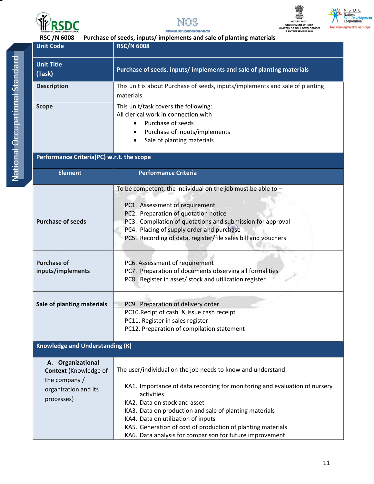



lards

**Nat** 





| <b>RSC/N 6008</b><br>Purchase of seeds, inputs/implements and sale of planting materials |                                                                                                    |  |  |  |
|------------------------------------------------------------------------------------------|----------------------------------------------------------------------------------------------------|--|--|--|
| <b>Unit Code</b>                                                                         | <b>RSC/N 6008</b>                                                                                  |  |  |  |
|                                                                                          |                                                                                                    |  |  |  |
| <b>Unit Title</b>                                                                        | Purchase of seeds, inputs/implements and sale of planting materials                                |  |  |  |
| (Task)                                                                                   |                                                                                                    |  |  |  |
| <b>Description</b>                                                                       | This unit is about Purchase of seeds, inputs/implements and sale of planting                       |  |  |  |
|                                                                                          | materials                                                                                          |  |  |  |
| <b>Scope</b>                                                                             | This unit/task covers the following:                                                               |  |  |  |
|                                                                                          | All clerical work in connection with                                                               |  |  |  |
|                                                                                          | Purchase of seeds                                                                                  |  |  |  |
|                                                                                          | Purchase of inputs/implements                                                                      |  |  |  |
|                                                                                          | Sale of planting materials                                                                         |  |  |  |
| Performance Criteria(PC) w.r.t. the scope                                                |                                                                                                    |  |  |  |
|                                                                                          |                                                                                                    |  |  |  |
| <b>Element</b>                                                                           | <b>Performance Criteria</b>                                                                        |  |  |  |
|                                                                                          |                                                                                                    |  |  |  |
|                                                                                          | To be competent, the individual on the job must be able to $-$                                     |  |  |  |
|                                                                                          |                                                                                                    |  |  |  |
|                                                                                          | PC1. Assessment of requirement                                                                     |  |  |  |
| <b>Purchase of seeds</b>                                                                 | PC2. Preparation of quotation notice<br>PC3. Compilation of quotations and submission for approval |  |  |  |
|                                                                                          | PC4. Placing of supply order and purchase                                                          |  |  |  |
|                                                                                          | PC5. Recording of data, register/file sales bill and vouchers                                      |  |  |  |
|                                                                                          |                                                                                                    |  |  |  |
|                                                                                          |                                                                                                    |  |  |  |
| <b>Purchase of</b>                                                                       | PC6. Assessment of requirement                                                                     |  |  |  |
| inputs/implements                                                                        | PC7. Preparation of documents observing all formalities                                            |  |  |  |
|                                                                                          | PC8. Register in asset/ stock and utilization register                                             |  |  |  |
|                                                                                          |                                                                                                    |  |  |  |
| Sale of planting materials                                                               | PC9. Preparation of delivery order                                                                 |  |  |  |
|                                                                                          | PC10. Recipt of cash & issue cash receipt                                                          |  |  |  |
|                                                                                          | PC11. Register in sales register                                                                   |  |  |  |
|                                                                                          | PC12. Preparation of compilation statement                                                         |  |  |  |
| <b>Knowledge and Understanding (K)</b>                                                   |                                                                                                    |  |  |  |
|                                                                                          |                                                                                                    |  |  |  |
| A. Organizational                                                                        |                                                                                                    |  |  |  |
| <b>Context</b> (Knowledge of                                                             | The user/individual on the job needs to know and understand:                                       |  |  |  |
| the company /                                                                            |                                                                                                    |  |  |  |
| organization and its                                                                     | KA1. Importance of data recording for monitoring and evaluation of nursery<br>activities           |  |  |  |
| processes)                                                                               | KA2. Data on stock and asset                                                                       |  |  |  |
|                                                                                          | KA3. Data on production and sale of planting materials                                             |  |  |  |
|                                                                                          | KA4. Data on utilization of inputs                                                                 |  |  |  |
|                                                                                          | KA5. Generation of cost of production of planting materials                                        |  |  |  |
|                                                                                          | KA6. Data analysis for comparison for future improvement                                           |  |  |  |

11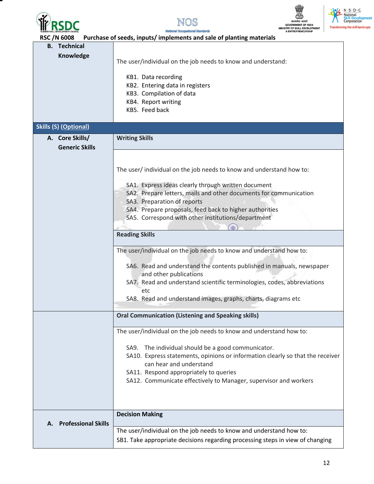







 **RSC /N 6008 Purchase of seeds, inputs/ implements and sale of planting materials B. Technical Knowledge**  The user/individual on the job needs to know and understand: KB1. Data recording KB2. Entering data in registers KB3. Compilation of data KB4. Report writing KB5. Feed back **Skills (S) (Optional) A. Core Skills/ Generic Skills Writing Skills**  The user/ individual on the job needs to know and understand how to: SA1. Express ideas clearly through written document SA2. Prepare letters, mails and other documents for communication SA3. Preparation of reports SA4. Prepare proposals, feed back to higher authorities SA5. Correspond with other institutions/department **Reading Skills**  The user/individual on the job needs to know and understand how to: SA6. Read and understand the contents published in manuals, newspaper and other publications SA7. Read and understand scientific terminologies, codes, abbreviations etc SA8. Read and understand images, graphs, charts, diagrams etc **Oral Communication (Listening and Speaking skills)**  The user/individual on the job needs to know and understand how to: SA9. The individual should be a good communicator. SA10. Express statements, opinions or information clearly so that the receiver can hear and understand SA11. Respond appropriately to queries SA12. Communicate effectively to Manager, supervisor and workers **A. Professional Skills Decision Making**  The user/individual on the job needs to know and understand how to: SB1. Take appropriate decisions regarding processing steps in view of changing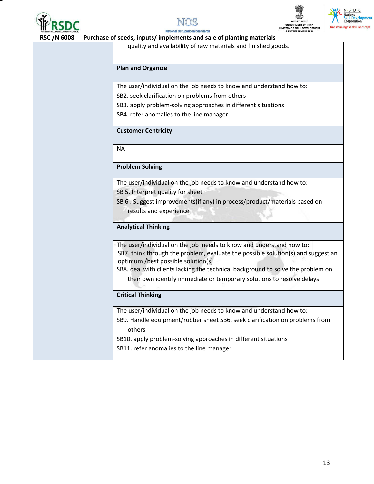







 **RSC /N 6008 Purchase of seeds, inputs/ implements and sale of planting materials** 

quality and availability of raw materials and finished goods.

### **Plan and Organize**

The user/individual on the job needs to know and understand how to:

SB2. seek clarification on problems from others

SB3. apply problem-solving approaches in different situations

SB4. refer anomalies to the line manager

### **Customer Centricity**

NA

### **Problem Solving**

The user/individual on the job needs to know and understand how to:

SB 5. Interpret quality for sheet

SB 6 . Suggest improvements(if any) in process/product/materials based on results and experience

### **Analytical Thinking**

The user/individual on the job needs to know and understand how to: SB7. think through the problem, evaluate the possible solution(s) and suggest an optimum /best possible solution(s)

SB8. deal with clients lacking the technical background to solve the problem on

their own identify immediate or temporary solutions to resolve delays

### **Critical Thinking**

The user/individual on the job needs to know and understand how to:

SB9. Handle equipment/rubber sheet SB6. seek clarification on problems from others

SB10. apply problem-solving approaches in different situations

SB11. refer anomalies to the line manager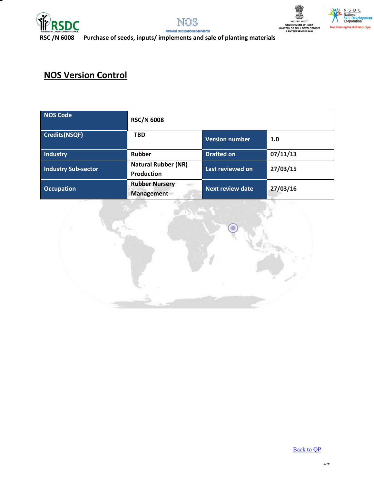



lards



 $N \cdot S \cdot D \cdot C$ National<br>Skill Develo<br>Corporation

 **RSC /N 6008 Purchase of seeds, inputs/ implements and sale of planting materials** 

## **NOS Version Control**

| <b>NOS Code</b>            | <b>RSC/N 6008</b>                               |                         |          |
|----------------------------|-------------------------------------------------|-------------------------|----------|
| Credits(NSQF)              | <b>TBD</b>                                      | <b>Version number</b>   | 1.0      |
| <b>Industry</b>            | Rubber                                          | <b>Drafted on</b>       | 07/11/13 |
| <b>Industry Sub-sector</b> | <b>Natural Rubber (NR)</b><br><b>Production</b> | Last reviewed on        | 27/03/15 |
| <b>Occupation</b>          | <b>Rubber Nursery</b><br><b>Management</b>      | <b>Next review date</b> | 27/03/16 |



[Back to QP](#page-1-0)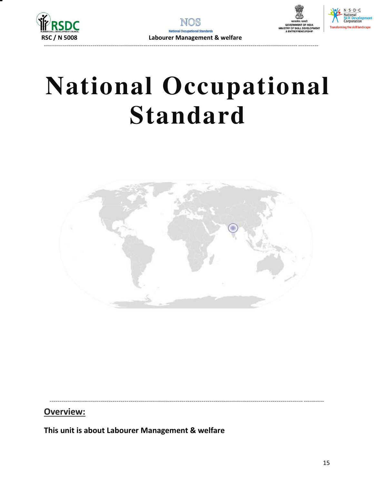





**National Occupational Standard** 



Overview:

<span id="page-14-0"></span>This unit is about Labourer Management & welfare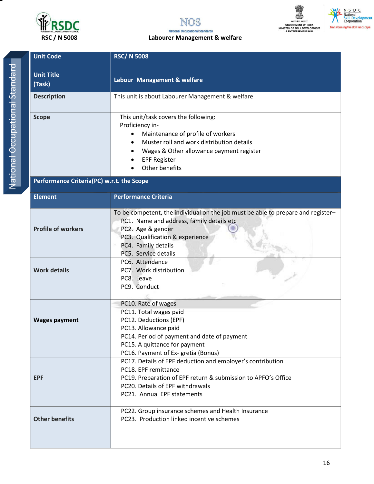



### **RSC / N 5008 Labourer Management & welfare**





| <b>Unit Code</b>                          | <b>RSC/N 5008</b>                                                                                                                                                                                                                    |  |  |
|-------------------------------------------|--------------------------------------------------------------------------------------------------------------------------------------------------------------------------------------------------------------------------------------|--|--|
| <b>Unit Title</b><br>(Task)               | Labour Management & welfare                                                                                                                                                                                                          |  |  |
| <b>Description</b>                        | This unit is about Labourer Management & welfare                                                                                                                                                                                     |  |  |
| <b>Scope</b>                              | This unit/task covers the following:<br>Proficiency in-<br>Maintenance of profile of workers<br>Muster roll and work distribution details<br>Wages & Other allowance payment register<br><b>EPF Register</b><br>Other benefits       |  |  |
| Performance Criteria(PC) w.r.t. the Scope |                                                                                                                                                                                                                                      |  |  |
| <b>Element</b>                            | <b>Performance Criteria</b>                                                                                                                                                                                                          |  |  |
| <b>Profile of workers</b>                 | To be competent, the individual on the job must be able to prepare and register-<br>PC1. Name and address, family details etc<br>PC2. Age & gender<br>PC3. Qualification & experience<br>PC4. Family details<br>PC5. Service details |  |  |
| <b>Work details</b>                       | PC6. Attendance<br>PC7. Work distribution<br>PC8. Leave<br>PC9. Conduct                                                                                                                                                              |  |  |
| <b>Wages payment</b>                      | PC10. Rate of wages<br>PC11. Total wages paid<br>PC12. Deductions (EPF)<br>PC13. Allowance paid<br>PC14. Period of payment and date of payment<br>PC15. A quittance for payment<br>PC16. Payment of Ex-gretia (Bonus)                |  |  |
| <b>EPF</b>                                | PC17. Details of EPF deduction and employer's contribution<br>PC18. EPF remittance<br>PC19. Preparation of EPF return & submission to APFO's Office<br>PC20. Details of EPF withdrawals<br>PC21. Annual EPF statements               |  |  |
| <b>Other benefits</b>                     | PC22. Group insurance schemes and Health Insurance<br>PC23. Production linked incentive schemes                                                                                                                                      |  |  |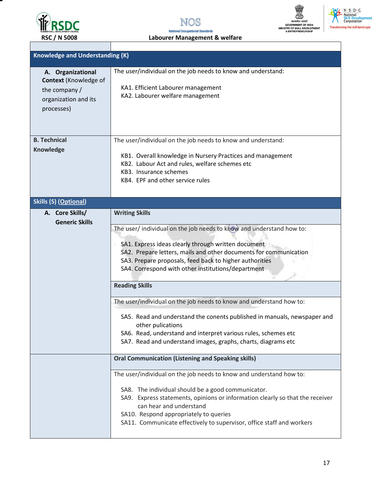





N. S. D. C<br>National<br>Skill Development<br>Corporation **Transforming the skill landscape** 

**RSC / N 5008** Labourer Management & welfare

| <b>Knowledge and Understanding (K)</b>                                                                   |                                                                                                                                                                                                                                                                                                                                                                                                                                            |
|----------------------------------------------------------------------------------------------------------|--------------------------------------------------------------------------------------------------------------------------------------------------------------------------------------------------------------------------------------------------------------------------------------------------------------------------------------------------------------------------------------------------------------------------------------------|
| A. Organizational<br><b>Context</b> (Knowledge of<br>the company /<br>organization and its<br>processes) | The user/individual on the job needs to know and understand:<br>KA1. Efficient Labourer management<br>KA2. Labourer welfare management                                                                                                                                                                                                                                                                                                     |
| <b>B. Technical</b><br><b>Knowledge</b>                                                                  | The user/individual on the job needs to know and understand:<br>KB1. Overall knowledge in Nursery Practices and management<br>KB2. Labour Act and rules, welfare schemes etc<br>KB3. Insurance schemes<br>KB4. EPF and other service rules                                                                                                                                                                                                 |
| <b>Skills (S) (Optional)</b>                                                                             |                                                                                                                                                                                                                                                                                                                                                                                                                                            |
| A. Core Skills/<br><b>Generic Skills</b>                                                                 | <b>Writing Skills</b><br>The user/ individual on the job needs to know and understand how to:<br>SA1. Express ideas clearly through written document<br>SA2. Prepare letters, mails and other documents for communication<br>SA3. Prepare proposals, feed back to higher authorities<br>SA4. Correspond with other institutions/department<br><b>Reading Skills</b><br>The user/individual on the job needs to know and understand how to: |
|                                                                                                          | SA5. Read and understand the conents published in manuals, newspaper and<br>other pulications<br>SA6. Read, understand and interpret various rules, schemes etc<br>SA7. Read and understand images, graphs, charts, diagrams etc                                                                                                                                                                                                           |
|                                                                                                          | <b>Oral Communication (Listening and Speaking skills)</b>                                                                                                                                                                                                                                                                                                                                                                                  |
|                                                                                                          | The user/individual on the job needs to know and understand how to:<br>SA8. The individual should be a good communicator.<br>SA9. Express statements, opinions or information clearly so that the receiver<br>can hear and understand<br>SA10. Respond appropriately to queries<br>SA11. Communicate effectively to supervisor, office staff and workers                                                                                   |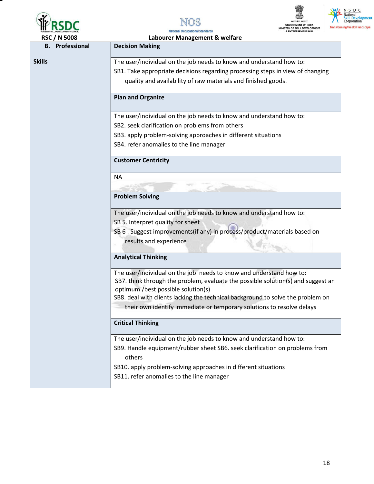





N. S. D. C.<br>National<br>Skill Development<br>Corporation **Transforming the skill landscape** 

| <b>RSC / N 5008</b>    | Labourer Management & welfare                                                                                                                                                                 |
|------------------------|-----------------------------------------------------------------------------------------------------------------------------------------------------------------------------------------------|
| <b>B.</b> Professional | <b>Decision Making</b>                                                                                                                                                                        |
| <b>Skills</b>          | The user/individual on the job needs to know and understand how to:                                                                                                                           |
|                        | SB1. Take appropriate decisions regarding processing steps in view of changing                                                                                                                |
|                        | quality and availability of raw materials and finished goods.                                                                                                                                 |
|                        | <b>Plan and Organize</b>                                                                                                                                                                      |
|                        | The user/individual on the job needs to know and understand how to:                                                                                                                           |
|                        | SB2. seek clarification on problems from others                                                                                                                                               |
|                        | SB3. apply problem-solving approaches in different situations                                                                                                                                 |
|                        | SB4. refer anomalies to the line manager                                                                                                                                                      |
|                        | <b>Customer Centricity</b>                                                                                                                                                                    |
|                        | <b>NA</b>                                                                                                                                                                                     |
|                        |                                                                                                                                                                                               |
|                        | <b>Problem Solving</b>                                                                                                                                                                        |
|                        | The user/individual on the job needs to know and understand how to:                                                                                                                           |
|                        | SB 5. Interpret quality for sheet                                                                                                                                                             |
|                        | SB 6. Suggest improvements(if any) in process/product/materials based on                                                                                                                      |
|                        | results and experience                                                                                                                                                                        |
|                        | <b>Analytical Thinking</b>                                                                                                                                                                    |
|                        | The user/individual on the job needs to know and understand how to:<br>SB7. think through the problem, evaluate the possible solution(s) and suggest an<br>optimum /best possible solution(s) |
|                        | SB8. deal with clients lacking the technical background to solve the problem on<br>their own identify immediate or temporary solutions to resolve delays                                      |
|                        | <b>Critical Thinking</b>                                                                                                                                                                      |
|                        | The user/individual on the job needs to know and understand how to:                                                                                                                           |
|                        | SB9. Handle equipment/rubber sheet SB6. seek clarification on problems from<br>others                                                                                                         |
|                        | SB10. apply problem-solving approaches in different situations                                                                                                                                |
|                        | SB11. refer anomalies to the line manager                                                                                                                                                     |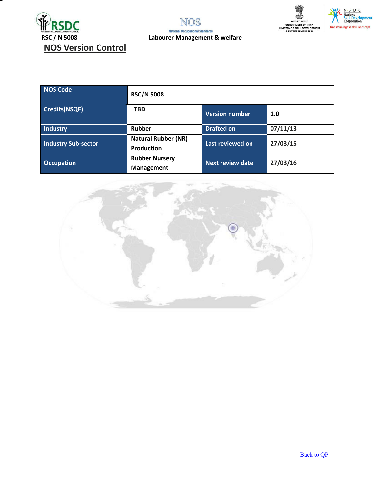







| <b>NOS Code</b>            | <b>RSC/N 5008</b>                               |                         |          |
|----------------------------|-------------------------------------------------|-------------------------|----------|
| <b>Credits(NSQF)</b>       | <b>TBD</b>                                      | <b>Version number</b>   | 1.0      |
| <b>Industry</b>            | Rubber                                          | <b>Drafted on</b>       | 07/11/13 |
| <b>Industry Sub-sector</b> | <b>Natural Rubber (NR)</b><br><b>Production</b> | Last reviewed on        | 27/03/15 |
| <b>Occupation</b>          | <b>Rubber Nursery</b><br>Management             | <b>Next review date</b> | 27/03/16 |



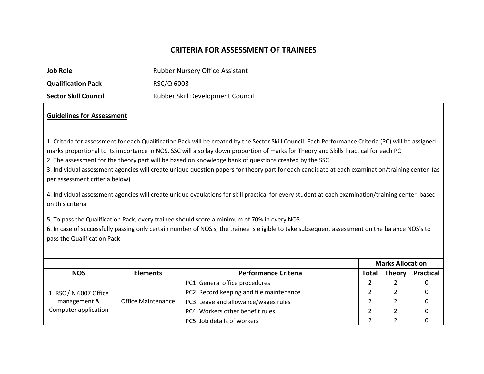### **CRITERIA FOR ASSESSMENT OF TRAINEES**

| <b>Job Role</b>             | <b>Rubber Nursery Office Assistant</b> |
|-----------------------------|----------------------------------------|
| <b>Qualification Pack</b>   | RSC/Q 6003                             |
| <b>Sector Skill Council</b> | Rubber Skill Development Council       |

### **Guidelines for Assessment**

1. Criteria for assessment for each Qualification Pack will be created by the Sector Skill Council. Each Performance Criteria (PC) will be assigned marks proportional to its importance in NOS. SSC will also lay down proportion of marks for Theory and Skills Practical for each PC

I

2. The assessment for the theory part will be based on knowledge bank of questions created by the SSC

3. Individual assessment agencies will create unique question papers for theory part for each candidate at each examination/training center (as per assessment criteria below)

4. Individual assessment agencies will create unique evaulations for skill practical for every student at each examination/training center based on this criteria

5. To pass the Qualification Pack, every trainee should score a minimum of 70% in every NOS

6. In case of successfully passing only certain number of NOS's, the trainee is eligible to take subsequent assessment on the balance NOS's to pass the Qualification Pack

|                                                                |                           |                                          | <b>Marks Allocation</b> |               |                  |
|----------------------------------------------------------------|---------------------------|------------------------------------------|-------------------------|---------------|------------------|
| <b>NOS</b>                                                     | <b>Elements</b>           | <b>Performance Criteria</b>              | Total                   | <b>Theory</b> | <b>Practical</b> |
| 1. RSC / N 6007 Office<br>management &<br>Computer application | <b>Office Maintenance</b> | PC1. General office procedures           |                         |               |                  |
|                                                                |                           | PC2. Record keeping and file maintenance |                         |               |                  |
|                                                                |                           | PC3. Leave and allowance/wages rules     |                         |               |                  |
|                                                                |                           | PC4. Workers other benefit rules         |                         |               |                  |
|                                                                |                           | PC5. Job details of workers              |                         |               |                  |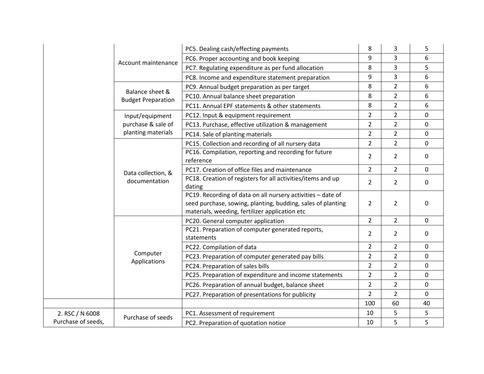|                    |                                              | PC5. Dealing cash/effecting payments                                                                                                                                         | 8              | 3              | 5           |
|--------------------|----------------------------------------------|------------------------------------------------------------------------------------------------------------------------------------------------------------------------------|----------------|----------------|-------------|
|                    | Account maintenance                          | PC6. Proper accounting and book keeping                                                                                                                                      | 9              | 3              | 6           |
|                    |                                              | PC7. Regulating expenditure as per fund allocation                                                                                                                           | 8              | 3              | 5           |
|                    |                                              | PC8. Income and expenditure statement preparation                                                                                                                            | 9              | 3              | 6           |
|                    |                                              | PC9. Annual budget preparation as per target                                                                                                                                 | 8              | $\overline{2}$ | 6           |
|                    | Balance sheet &<br><b>Budget Preparation</b> | PC10. Annual balance sheet preparation                                                                                                                                       | 8              | $\overline{2}$ | 6           |
|                    |                                              | PC11. Annual EPF statements & other statements                                                                                                                               | 8              | $\overline{2}$ | 6           |
|                    | Input/equipment                              | PC12. Input & equipment requirement                                                                                                                                          | $\overline{2}$ | $\overline{2}$ | $\mathbf 0$ |
|                    | purchase & sale of                           | PC13. Purchase, effective utilization & management                                                                                                                           | $\overline{2}$ | $\overline{2}$ | 0           |
|                    | planting materials                           | PC14. Sale of planting materials                                                                                                                                             | $\overline{2}$ | $\overline{2}$ | $\mathbf 0$ |
|                    |                                              | PC15. Collection and recording of all nursery data                                                                                                                           | $\overline{2}$ | $\overline{2}$ | $\mathbf 0$ |
|                    |                                              | PC16. Compilation, reporting and recording for future                                                                                                                        | $\overline{2}$ | $\overline{2}$ | $\mathbf 0$ |
|                    |                                              | reference                                                                                                                                                                    |                |                |             |
|                    | Data collection, &                           | PC17. Creation of office files and maintenance                                                                                                                               | $\overline{2}$ | $\overline{2}$ | 0           |
|                    | documentation                                | PC18. Creation of registers for all activities/items and up<br>dating                                                                                                        | $\overline{2}$ | $\overline{2}$ | 0           |
|                    |                                              | PC19. Recording of data on all nursery activities - date of<br>seed purchase, sowing, planting, budding, sales of planting<br>materials, weeding, fertilizer application etc | $\overline{2}$ | $\overline{2}$ | 0           |
|                    |                                              | PC20. General computer application                                                                                                                                           | $\overline{2}$ | $\overline{2}$ | 0           |
|                    |                                              | PC21. Preparation of computer generated reports,<br>statements                                                                                                               | $\overline{2}$ | $\overline{2}$ | 0           |
|                    |                                              | PC22. Compilation of data                                                                                                                                                    | $\overline{2}$ | $\overline{2}$ | $\Omega$    |
|                    | Computer                                     | PC23. Preparation of computer generated pay bills                                                                                                                            | $\overline{2}$ | $\overline{2}$ | $\mathbf 0$ |
|                    | Applications                                 | PC24. Preparation of sales bills                                                                                                                                             | $\overline{2}$ | $\overline{2}$ | $\mathbf 0$ |
|                    |                                              | PC25. Preparation of expenditure and income statements                                                                                                                       | $\overline{2}$ | $\overline{2}$ | $\Omega$    |
|                    |                                              | PC26. Preparation of annual budget, balance sheet                                                                                                                            | $\overline{2}$ | $\overline{2}$ | 0           |
|                    |                                              | PC27. Preparation of presentations for publicity                                                                                                                             | $\overline{2}$ | $\overline{2}$ | $\mathbf 0$ |
|                    |                                              |                                                                                                                                                                              | 100            | 60             | 40          |
| 2. RSC / N 6008    |                                              | PC1. Assessment of requirement                                                                                                                                               | 10             | 5              | 5           |
| Purchase of seeds, | Purchase of seeds                            | PC2. Preparation of quotation notice                                                                                                                                         | 10             | 5              | 5           |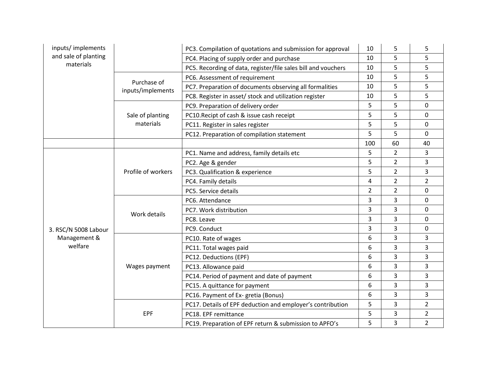| inputs/implements                               |                                  | PC3. Compilation of quotations and submission for approval    | 10             | 5              | 5              |
|-------------------------------------------------|----------------------------------|---------------------------------------------------------------|----------------|----------------|----------------|
| and sale of planting                            |                                  | PC4. Placing of supply order and purchase                     | 10             | 5              | 5              |
| materials                                       |                                  | PC5. Recording of data, register/file sales bill and vouchers | 10             | 5              | 5              |
|                                                 |                                  | PC6. Assessment of requirement                                | 10             | 5              | 5              |
|                                                 | Purchase of<br>inputs/implements | PC7. Preparation of documents observing all formalities       | 10             | 5              | 5              |
|                                                 |                                  | PC8. Register in asset/ stock and utilization register        | 10             | 5              | 5              |
|                                                 |                                  | PC9. Preparation of delivery order                            | 5              | 5              | 0              |
|                                                 | Sale of planting                 | PC10. Recipt of cash & issue cash receipt                     | 5              | 5              | $\Omega$       |
|                                                 | materials                        | PC11. Register in sales register                              | 5              | 5              | $\Omega$       |
|                                                 |                                  | PC12. Preparation of compilation statement                    | 5              | 5              | $\Omega$       |
|                                                 |                                  |                                                               | 100            | 60             | 40             |
|                                                 |                                  | PC1. Name and address, family details etc                     | 5              | $\overline{2}$ | 3              |
|                                                 |                                  | PC2. Age & gender                                             | 5              | $\overline{2}$ | 3              |
|                                                 | Profile of workers               | PC3. Qualification & experience                               | 5              | $\overline{2}$ | 3              |
|                                                 |                                  | PC4. Family details                                           | 4              | $\overline{2}$ | $\overline{2}$ |
|                                                 |                                  | PC5. Service details                                          | $\overline{2}$ | $\overline{2}$ | $\mathbf 0$    |
|                                                 |                                  | PC6. Attendance                                               | 3              | 3              | $\Omega$       |
|                                                 | Work details                     | PC7. Work distribution                                        | 3              | 3              | $\Omega$       |
| 3. RSC/N 5008 Labour<br>Management &<br>welfare |                                  | PC8. Leave                                                    | 3              | 3              | $\mathbf 0$    |
|                                                 |                                  | PC9. Conduct                                                  | 3              | 3              | $\mathbf 0$    |
|                                                 | Wages payment                    | PC10. Rate of wages                                           | 6              | 3              | 3              |
|                                                 |                                  | PC11. Total wages paid                                        | 6              | 3              | 3              |
|                                                 |                                  | PC12. Deductions (EPF)                                        | 6              | 3              | 3              |
|                                                 |                                  | PC13. Allowance paid                                          | 6              | 3              | 3              |
|                                                 |                                  | PC14. Period of payment and date of payment                   | 6              | 3              | 3              |
|                                                 |                                  | PC15. A quittance for payment                                 | 6              | 3              | 3              |
|                                                 |                                  | PC16. Payment of Ex- gretia (Bonus)                           | 6              | 3              | 3              |
|                                                 |                                  | PC17. Details of EPF deduction and employer's contribution    | 5              | 3              | $\overline{2}$ |
|                                                 | <b>EPF</b>                       | PC18. EPF remittance                                          | 5              | 3              | $\overline{2}$ |
|                                                 |                                  | PC19. Preparation of EPF return & submission to APFO's        | 5              | 3              | $\overline{2}$ |